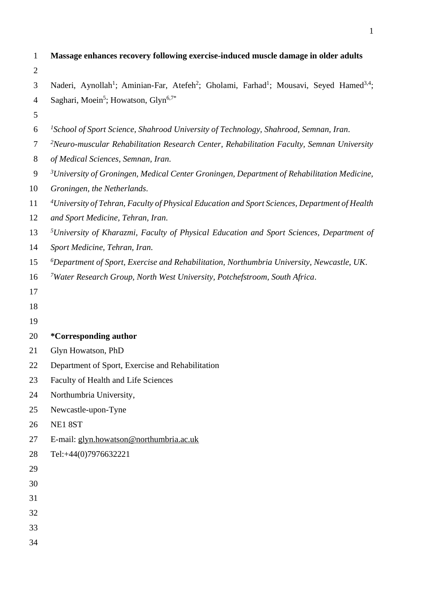| $\mathbf{1}$   | Massage enhances recovery following exercise-induced muscle damage in older adults                                                      |  |  |  |  |
|----------------|-----------------------------------------------------------------------------------------------------------------------------------------|--|--|--|--|
| $\mathbf{2}$   |                                                                                                                                         |  |  |  |  |
| 3              | Naderi, Aynollah <sup>1</sup> ; Aminian-Far, Atefeh <sup>2</sup> ; Gholami, Farhad <sup>1</sup> ; Mousavi, Seyed Hamed <sup>3,4</sup> ; |  |  |  |  |
| $\overline{4}$ | Saghari, Moein <sup>5</sup> ; Howatson, Glyn <sup>6,7*</sup>                                                                            |  |  |  |  |
| 5              |                                                                                                                                         |  |  |  |  |
| 6              | <sup>1</sup> School of Sport Science, Shahrood University of Technology, Shahrood, Semnan, Iran.                                        |  |  |  |  |
| $\overline{7}$ | $2$ Neuro-muscular Rehabilitation Research Center, Rehabilitation Faculty, Semnan University                                            |  |  |  |  |
| $8\,$          | of Medical Sciences, Semnan, Iran.                                                                                                      |  |  |  |  |
| 9              | <sup>3</sup> University of Groningen, Medical Center Groningen, Department of Rehabilitation Medicine,                                  |  |  |  |  |
| 10             | Groningen, the Netherlands.                                                                                                             |  |  |  |  |
| 11             | <sup>4</sup> University of Tehran, Faculty of Physical Education and Sport Sciences, Department of Health                               |  |  |  |  |
| 12             | and Sport Medicine, Tehran, Iran.                                                                                                       |  |  |  |  |
| 13             | <sup>5</sup> University of Kharazmi, Faculty of Physical Education and Sport Sciences, Department of                                    |  |  |  |  |
| 14             | Sport Medicine, Tehran, Iran.                                                                                                           |  |  |  |  |
| 15             | ${}^6$ Department of Sport, Exercise and Rehabilitation, Northumbria University, Newcastle, UK.                                         |  |  |  |  |
| 16             | <sup>7</sup> Water Research Group, North West University, Potchefstroom, South Africa.                                                  |  |  |  |  |
| 17             |                                                                                                                                         |  |  |  |  |
| 18             |                                                                                                                                         |  |  |  |  |
| 19             |                                                                                                                                         |  |  |  |  |
| 20             | <i>*</i> Corresponding author                                                                                                           |  |  |  |  |
| 21             | Glyn Howatson, PhD                                                                                                                      |  |  |  |  |
| 22             | Department of Sport, Exercise and Rehabilitation                                                                                        |  |  |  |  |
| 23             | Faculty of Health and Life Sciences                                                                                                     |  |  |  |  |
| 24             | Northumbria University,                                                                                                                 |  |  |  |  |
| 25             | Newcastle-upon-Tyne                                                                                                                     |  |  |  |  |
| 26             | NE18ST                                                                                                                                  |  |  |  |  |
| 27             | E-mail: glyn.howatson@northumbria.ac.uk                                                                                                 |  |  |  |  |
| 28             | Tel:+44(0)7976632221                                                                                                                    |  |  |  |  |
| 29             |                                                                                                                                         |  |  |  |  |
| 30             |                                                                                                                                         |  |  |  |  |
| 31             |                                                                                                                                         |  |  |  |  |
| 32             |                                                                                                                                         |  |  |  |  |
| 33             |                                                                                                                                         |  |  |  |  |
| 34             |                                                                                                                                         |  |  |  |  |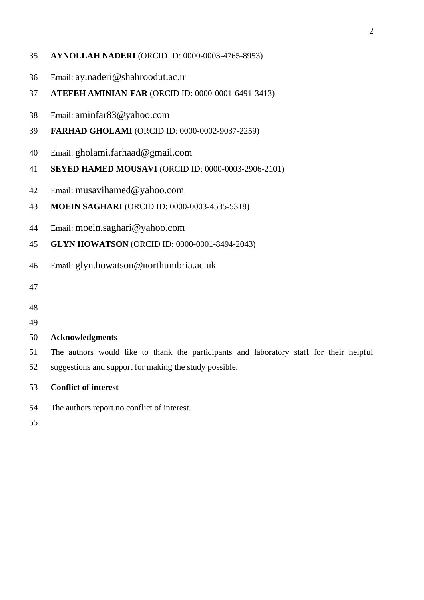- **AYNOLLAH NADERI** (ORCID ID: 0000-0003-4765-8953)
- Email: ay.naderi@shahroodut.ac.ir
- **ATEFEH AMINIAN-FAR** (ORCID ID: 0000-0001-6491-3413)
- Email: aminfar83@yahoo.com
- **FARHAD GHOLAMI** (ORCID ID: 0000-0002-9037-2259)
- Email: gholami.farhaad@gmail.com
- **SEYED HAMED MOUSAVI** (ORCID ID: 0000-0003-2906-2101)
- Email: musavihamed@yahoo.com
- **MOEIN SAGHARI** (ORCID ID: 0000-0003-4535-5318)
- Email: moein.saghari@yahoo.com
- **GLYN HOWATSON** (ORCID ID: 0000-0001-8494-2043)
- Email: glyn.howatson@northumbria.ac.uk
- 
- 
- 

# **Acknowledgments**

- The authors would like to thank the participants and laboratory staff for their helpful suggestions and support for making the study possible.
- **Conflict of interest**
- The authors report no conflict of interest.
-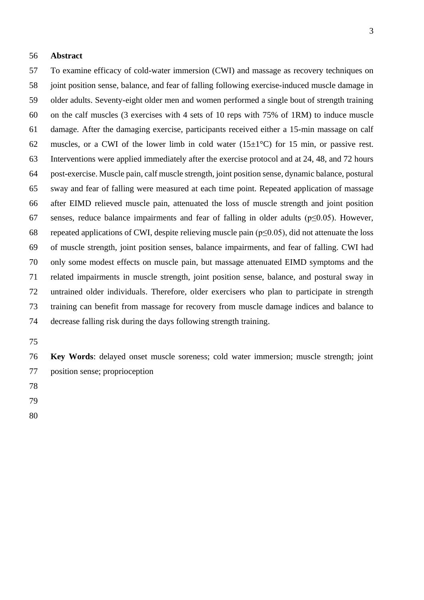#### **Abstract**

 To examine efficacy of cold-water immersion (CWI) and massage as recovery techniques on joint position sense, balance, and fear of falling following exercise-induced muscle damage in older adults. Seventy-eight older men and women performed a single bout of strength training on the calf muscles (3 exercises with 4 sets of 10 reps with 75% of 1RM) to induce muscle damage. After the damaging exercise, participants received either a 15-min massage on calf 62 muscles, or a CWI of the lower limb in cold water  $(15\pm1^{\circ}C)$  for 15 min, or passive rest. Interventions were applied immediately after the exercise protocol and at 24, 48, and 72 hours post-exercise. Muscle pain, calf muscle strength, joint position sense, dynamic balance, postural sway and fear of falling were measured at each time point. Repeated application of massage after EIMD relieved muscle pain, attenuated the loss of muscle strength and joint position senses, reduce balance impairments and fear of falling in older adults (p≤0.05). However, repeated applications of CWI, despite relieving muscle pain (p≤0.05), did not attenuate the loss of muscle strength, joint position senses, balance impairments, and fear of falling. CWI had only some modest effects on muscle pain, but massage attenuated EIMD symptoms and the related impairments in muscle strength, joint position sense, balance, and postural sway in untrained older individuals. Therefore, older exercisers who plan to participate in strength training can benefit from massage for recovery from muscle damage indices and balance to decrease falling risk during the days following strength training.

 **Key Words**: delayed onset muscle soreness; cold water immersion; muscle strength; joint position sense; proprioception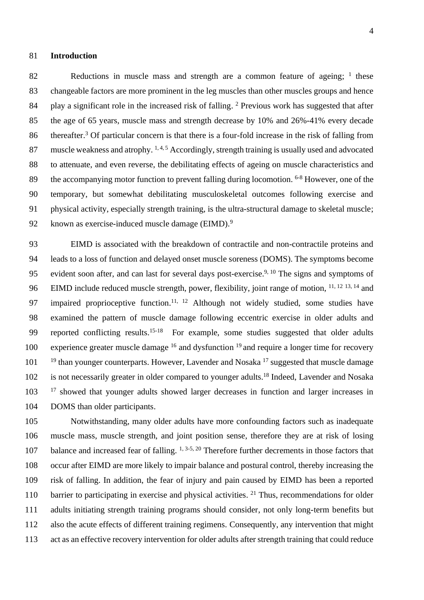#### 81 **Introduction**

82 Reductions in muscle mass and strength are a common feature of ageing; <sup>1</sup> these 83 changeable factors are more prominent in the leg muscles than other muscles groups and hence 84 play a significant role in the increased risk of falling. <sup>2</sup> Previous work has suggested that after 85 the age of 65 years, muscle mass and strength decrease by 10% and 26%-41% every decade  $86$  thereafter.<sup>3</sup> Of particular concern is that there is a four-fold increase in the risk of falling from 87 muscle weakness and atrophy.  $1, 4, 5$  Accordingly, strength training is usually used and advocated 88 to attenuate, and even reverse, the debilitating effects of ageing on muscle characteristics and 89 the accompanying motor function to prevent falling during locomotion.  $6-8$  However, one of the 90 temporary, but somewhat debilitating musculoskeletal outcomes following exercise and 91 physical activity, especially strength training, is the ultra-structural damage to skeletal muscle; 92 known as exercise-induced muscle damage (EIMD).<sup>9</sup>

93 EIMD is associated with the breakdown of contractile and non-contractile proteins and 94 leads to a loss of function and delayed onset muscle soreness (DOMS). The symptoms become 95 evident soon after, and can last for several days post-exercise.<sup>9, 10</sup> The signs and symptoms of 96 EIMD include reduced muscle strength, power, flexibility, joint range of motion, <sup>11, 12 13, 14</sup> and 97 impaired proprioceptive function.<sup>11, 12</sup> Although not widely studied, some studies have 98 examined the pattern of muscle damage following eccentric exercise in older adults and 99 reported conflicting results.<sup>15-18</sup> For example, some studies suggested that older adults 100 experience greater muscle damage  $16$  and dysfunction  $19$  and require a longer time for recovery  $101$  <sup>19</sup> than younger counterparts. However, Lavender and Nosaka<sup>17</sup> suggested that muscle damage 102 is not necessarily greater in older compared to younger adults.<sup>18</sup> Indeed, Lavender and Nosaka 103 <sup>17</sup> showed that younger adults showed larger decreases in function and larger increases in 104 DOMS than older participants.

 Notwithstanding, many older adults have more confounding factors such as inadequate muscle mass, muscle strength, and joint position sense, therefore they are at risk of losing 107 balance and increased fear of falling.  $1, 3.5, 20$  Therefore further decrements in those factors that occur after EIMD are more likely to impair balance and postural control, thereby increasing the risk of falling. In addition, the fear of injury and pain caused by EIMD has been a reported 110 barrier to participating in exercise and physical activities. <sup>21</sup> Thus, recommendations for older adults initiating strength training programs should consider, not only long-term benefits but also the acute effects of different training regimens. Consequently, any intervention that might 113 act as an effective recovery intervention for older adults after strength training that could reduce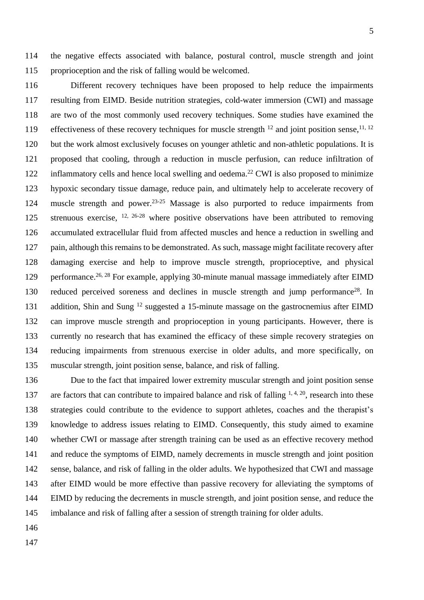the negative effects associated with balance, postural control, muscle strength and joint proprioception and the risk of falling would be welcomed.

 Different recovery techniques have been proposed to help reduce the impairments resulting from EIMD. Beside nutrition strategies, cold-water immersion (CWI) and massage are two of the most commonly used recovery techniques. Some studies have examined the 119 effectiveness of these recovery techniques for muscle strength <sup>12</sup> and joint position sense, <sup>11, 12</sup> but the work almost exclusively focuses on younger athletic and non-athletic populations. It is proposed that cooling, through a reduction in muscle perfusion, can reduce infiltration of 122 inflammatory cells and hence local swelling and oedema.<sup>22</sup> CWI is also proposed to minimize hypoxic secondary tissue damage, reduce pain, and ultimately help to accelerate recovery of 124 muscle strength and power.<sup>23-25</sup> Massage is also purported to reduce impairments from 125 strenuous exercise,  $12, 26-28$  where positive observations have been attributed to removing accumulated extracellular fluid from affected muscles and hence a reduction in swelling and pain, although this remains to be demonstrated. As such, massage might facilitate recovery after damaging exercise and help to improve muscle strength, proprioceptive, and physical 129 performance.<sup>26, 28</sup> For example, applying 30-minute manual massage immediately after EIMD 130 reduced perceived soreness and declines in muscle strength and jump performance<sup>28</sup>. In 131 addition, Shin and Sung  $^{12}$  suggested a 15-minute massage on the gastrocnemius after EIMD can improve muscle strength and proprioception in young participants. However, there is currently no research that has examined the efficacy of these simple recovery strategies on reducing impairments from strenuous exercise in older adults, and more specifically, on muscular strength, joint position sense, balance, and risk of falling.

 Due to the fact that impaired lower extremity muscular strength and joint position sense 137 are factors that can contribute to impaired balance and risk of falling  $1, 4, 20$ , research into these strategies could contribute to the evidence to support athletes, coaches and the therapist's knowledge to address issues relating to EIMD. Consequently, this study aimed to examine whether CWI or massage after strength training can be used as an effective recovery method and reduce the symptoms of EIMD, namely decrements in muscle strength and joint position sense, balance, and risk of falling in the older adults. We hypothesized that CWI and massage after EIMD would be more effective than passive recovery for alleviating the symptoms of EIMD by reducing the decrements in muscle strength, and joint position sense, and reduce the imbalance and risk of falling after a session of strength training for older adults.

- 
-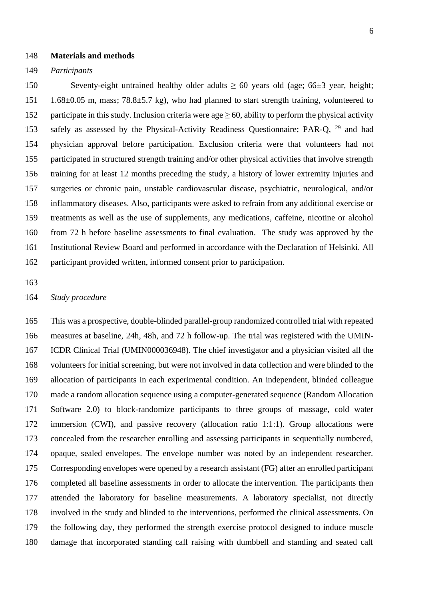#### **Materials and methods**

#### *Participants*

 Seventy-eight untrained healthy older adults ≥ 60 years old (age; 66±3 year, height; 1.68±0.05 m, mass; 78.8±5.7 kg), who had planned to start strength training, volunteered to 152 participate in this study. Inclusion criteria were age  $\geq 60$ , ability to perform the physical activity 153 safely as assessed by the Physical-Activity Readiness Questionnaire; PAR-Q, <sup>29</sup> and had physician approval before participation. Exclusion criteria were that volunteers had not participated in structured strength training and/or other physical activities that involve strength training for at least 12 months preceding the study, a history of lower extremity injuries and surgeries or chronic pain, unstable cardiovascular disease, psychiatric, neurological, and/or inflammatory diseases. Also, participants were asked to refrain from any additional exercise or treatments as well as the use of supplements, any medications, caffeine, nicotine or alcohol from 72 h before baseline assessments to final evaluation. The study was approved by the Institutional Review Board and performed in accordance with the Declaration of Helsinki. All participant provided written, informed consent prior to participation.

#### *Study procedure*

 This was a prospective, double-blinded parallel-grouprandomized controlled trialwith repeated measures at baseline, 24h, 48h, and 72 h follow-up. Thetrial was registered with the UMIN- ICDR Clinical Trial (UMIN000036948). The chief investigator and a physician visited all the volunteers for initial screening, but were not involved in data collection and were blinded to the allocation of participants in each experimental condition. An independent, blinded colleague made a random allocation sequence using a computer-generated sequence (Random Allocation Software 2.0) to block-randomize participants to three groups of massage, cold water immersion (CWI), and passive recovery (allocation ratio 1:1:1). Group allocations were concealed from the researcher enrolling and assessing participants in sequentially numbered, opaque, sealed envelopes. The envelope number was noted by an independent researcher. Corresponding envelopes were opened by a research assistant (FG) after an enrolled participant completed all baseline assessments in order to allocate the intervention. The participants then attended the laboratory for baseline measurements. A laboratory specialist, not directly involved in the study and blinded to the interventions, performed the clinical assessments. On the following day, they performed the strength exercise protocol designed to induce muscle damage that incorporated standing calf raising with dumbbell and standing and seated calf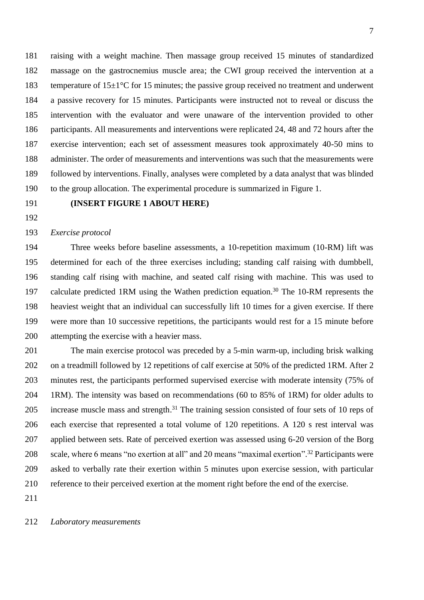raising with a weight machine. Then massage group received 15 minutes of standardized massage on the gastrocnemius muscle area; the CWI group received the intervention at a 183 temperature of  $15\pm1\degree C$  for 15 minutes; the passive group received no treatment and underwent a passive recovery for 15 minutes. Participants were instructed not to reveal or discuss the intervention with the evaluator and were unaware of the intervention provided to other participants. All measurements and interventions were replicated 24, 48 and 72 hours after the exercise intervention; each set of assessment measures took approximately 40-50 mins to administer. The order of measurements and interventions was such that the measurements were followed by interventions. Finally, analyses were completed by a data analyst that was blinded to the group allocation. The experimental procedure is summarized in Figure 1.

# **(INSERT FIGURE 1 ABOUT HERE)**

# *Exercise protocol*

 Three weeks before baseline assessments, a 10-repetition maximum (10-RM) lift was determined for each of the three exercises including; standing calf raising with dumbbell, standing calf rising with machine, and seated calf rising with machine. This was used to 197 calculate predicted 1RM using the Wathen prediction equation.<sup>30</sup> The 10-RM represents the heaviest weight that an individual can successfully lift 10 times for a given exercise. If there were more than 10 successive repetitions, the participants would rest for a 15 minute before attempting the exercise with a heavier mass.

 The main exercise protocol was preceded by a 5-min warm-up, including brisk walking 202 on a treadmill followed by 12 repetitions of calf exercise at 50% of the predicted 1RM. After 2 minutes rest, the participants performed supervised exercise with moderate intensity (75% of 1RM). The intensity was based on recommendations (60 to 85% of 1RM) for older adults to 205 increase muscle mass and strength.<sup>31</sup> The training session consisted of four sets of 10 reps of each exercise that represented a total volume of 120 repetitions. A 120 s rest interval was applied between sets. Rate of perceived exertion was assessed using 6-20 version of the Borg 208 scale, where 6 means "no exertion at all" and 20 means "maximal exertion".<sup>32</sup> Participants were asked to verbally rate their exertion within 5 minutes upon exercise session, with particular reference to their perceived exertion at the moment right before the end of the exercise.

*Laboratory measurements*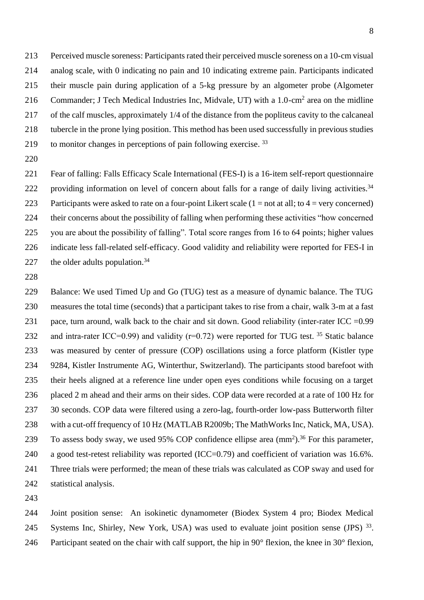Perceived muscle soreness: Participants rated their perceived muscle soreness on a 10-cm visual analog scale, with 0 indicating no pain and 10 indicating extreme pain. Participants indicated their muscle pain during application of a 5-kg pressure by an algometer probe (Algometer 216 Commander; J Tech Medical Industries Inc, Midvale, UT) with a  $1.0\text{-cm}^2$  area on the midline of the calf muscles, approximately 1/4 of the distance from the popliteus cavity to the calcaneal tubercle in the prone lying position. This method has been used successfully in previous studies 219 to monitor changes in perceptions of pain following exercise.<sup>33</sup> 

- Fear of falling: Falls Efficacy Scale International (FES-I) is a 16-item self-report questionnaire 222 providing information on level of concern about falls for a range of daily living activities.<sup>34</sup> 223 Participants were asked to rate on a four-point Likert scale  $(1 = not at all; to 4 = very concerned)$  their concerns about the possibility of falling when performing these activities "how concerned you are about the possibility of falling". Total score ranges from 16 to 64 points; higher values indicate less fall-related self-efficacy. Good validity and reliability were reported for FES-I in 227 the older adults population.<sup>34</sup>
- 

 Balance: We used Timed Up and Go (TUG) test as a measure of dynamic balance. The TUG measures the total time (seconds) that a participant takes to rise from a chair, walk 3-m at a fast 231 pace, turn around, walk back to the chair and sit down. Good reliability (inter-rater ICC =  $0.99$ ) 232 and intra-rater ICC=0.99) and validity ( $r=0.72$ ) were reported for TUG test. <sup>35</sup> Static balance was measured by center of pressure (COP) oscillations using a force platform (Kistler type 9284, Kistler Instrumente AG, Winterthur, Switzerland). The participants stood barefoot with their heels aligned at a reference line under open eyes conditions while focusing on a target placed 2 m ahead and their arms on their sides. COP data were recorded at a rate of 100 Hz for 237 30 seconds. COP data were filtered using a zero-lag, fourth-order low-pass Butterworth filter with a cut-off frequency of 10 Hz (MATLAB R2009b; The MathWorks Inc, Natick, MA, USA). 239 To assess body sway, we used 95% COP confidence ellipse area  $\text{(mm}^2)$ .<sup>36</sup> For this parameter, 240 a good test-retest reliability was reported (ICC=0.79) and coefficient of variation was 16.6%. Three trials were performed; the mean of these trials was calculated as COP sway and used for statistical analysis.

 Joint position sense: An isokinetic dynamometer (Biodex System 4 pro; Biodex Medical 245 Systems Inc, Shirley, New York, USA) was used to evaluate joint position sense (JPS)  $^{33}$ . Participant seated on the chair with calf support, the hip in 90° flexion, the knee in 30° flexion,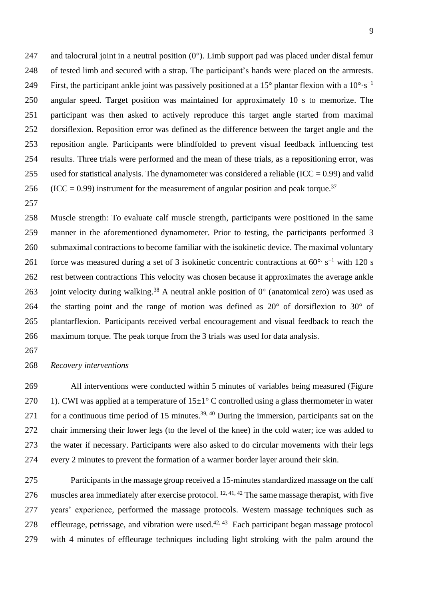247 and talocrural joint in a neutral position  $(0^{\circ})$ . Limb support pad was placed under distal femur of tested limb and secured with a strap. The participant's hands were placed on the armrests. First, the participant ankle joint was passively positioned at a 15° plantar flexion with a  $10^{\circ} \text{·s}^{-1}$  angular speed. Target position was maintained for approximately 10 s to memorize. The participant was then asked to actively reproduce this target angle started from maximal dorsiflexion. Reposition error was defined as the difference between the target angle and the reposition angle. Participants were blindfolded to prevent visual feedback influencing test results. Three trials were performed and the mean of these trials, as a repositioning error, was 255 used for statistical analysis. The dynamometer was considered a reliable (ICC =  $0.99$ ) and valid 256 (ICC = 0.99) instrument for the measurement of angular position and peak torque.<sup>37</sup>

 Muscle strength: To evaluate calf muscle strength, participants were positioned in the same manner in the aforementioned dynamometer. Prior to testing, the participants performed 3 submaximal contractions to become familiar with the isokinetic device. The maximal voluntary 261 force was measured during a set of 3 isokinetic concentric contractions at  $60^{\circ}$  s<sup>-1</sup> with 120 s rest between contractions This velocity was chosen because it approximates the average ankle 263 joint velocity during walking.<sup>38</sup> A neutral ankle position of  $0^{\circ}$  (anatomical zero) was used as the starting point and the range of motion was defined as 20° of dorsiflexion to 30° of plantarflexion. Participants received verbal encouragement and visual feedback to reach the maximum torque. The peak torque from the 3 trials was used for data analysis.

*Recovery interventions* 

 All interventions were conducted within 5 minutes of variables being measured (Figure 270 1). CWI was applied at a temperature of  $15\pm1^{\circ}$  C controlled using a glass thermometer in water 271 for a continuous time period of 15 minutes.<sup>39, 40</sup> During the immersion, participants sat on the chair immersing their lower legs (to the level of the knee) in the cold water; ice was added to the water if necessary. Participants were also asked to do circular movements with their legs every 2 minutes to prevent the formation of a warmer border layer around their skin.

 Participants in the massage group received a 15-minutes standardized massage on the calf 276 muscles area immediately after exercise protocol.  $12, 41, 42$  The same massage therapist, with five years' experience, performed the massage protocols. Western massage techniques such as 278 effleurage, petrissage, and vibration were used.<sup>42, 43</sup> Each participant began massage protocol with 4 minutes of effleurage techniques including light stroking with the palm around the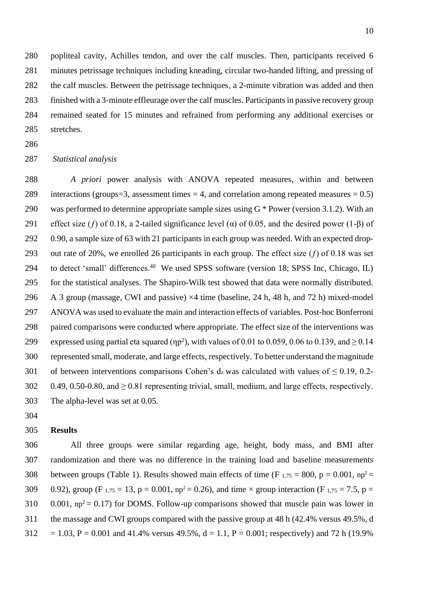popliteal cavity, Achilles tendon, and over the calf muscles. Then, participants received 6 minutes petrissage techniques including kneading, circular two-handed lifting, and pressing of the calf muscles. Between the petrissage techniques, a 2-minute vibration was added and then finished with a 3-minute effleurage over the calf muscles. Participants in passive recovery group remained seated for 15 minutes and refrained from performing any additional exercises or stretches.

### *Statistical analysis*

 *A priori* power analysis with ANOVA repeated measures, within and between 289 interactions (groups=3, assessment times  $=$  4, and correlation among repeated measures  $=$  0.5) 290 was performed to determine appropriate sample sizes using  $G^*$  Power (version 3.1.2). With an 291 effect size (f) of 0.18, a 2-tailed significance level ( $\alpha$ ) of 0.05, and the desired power (1-β) of 0.90, a sample size of 63 with 21 participants in each group was needed. With an expected drop-293 out rate of 20%, we enrolled 26 participants in each group. The effect size  $(f)$  of 0.18 was set 294 to detect 'small' differences.<sup>40</sup> We used SPSS software (version 18; SPSS Inc, Chicago, IL) for the statistical analyses. The Shapiro-Wilk test showed that data were normally distributed. A 3 group (massage, CWI and passive) ×4 time (baseline, 24 h, 48 h, and 72 h) mixed-model ANOVA was used to evaluate the main and interaction effects of variables. Post-hoc Bonferroni paired comparisons were conducted where appropriate. The effect size of the interventions was expressed using partial eta squared ( $np^2$ ), with values of 0.01 to 0.059, 0.06 to 0.139, and  $> 0.14$  represented small, moderate, and large effects, respectively. To better understand the magnitude 301 of between interventions comparisons Cohen's  $d_z$  was calculated with values of  $\leq$  0.19, 0.2-302 0.49, 0.50-0.80, and  $\geq$  0.81 representing trivial, small, medium, and large effects, respectively. The alpha-level was set at 0.05.

#### **Results**

 All three groups were similar regarding age, height, body mass, and BMI after randomization and there was no difference in the training load and baseline measurements 308 between groups (Table 1). Results showed main effects of time (F  $_{1.75}$  = 800, p = 0.001, np<sup>2</sup> = 309 0.92), group (F  $_{1,75} = 13$ , p = 0.001, np<sup>2</sup> = 0.26), and time  $\times$  group interaction (F  $_{1,75} = 7.5$ , p = 310  $0.001$ ,  $np^2 = 0.17$ ) for DOMS. Follow-up comparisons showed that muscle pain was lower in the massage and CWI groups compared with the passive group at 48 h (42.4% versus 49.5%, d  $312 = 1.03$ ,  $P = 0.001$  and 41.4% versus 49.5%,  $d = 1.1$ ,  $P = 0.001$ ; respectively) and 72 h (19.9%)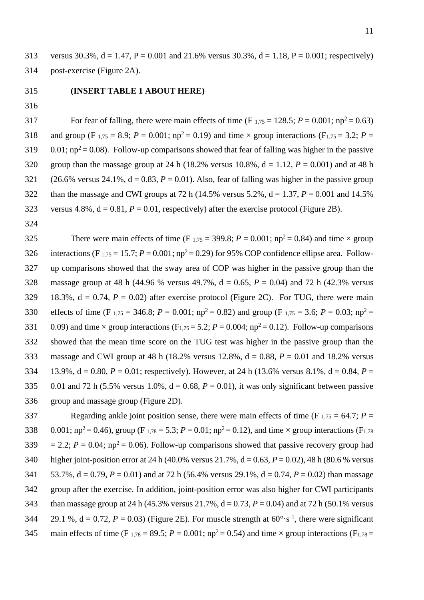313 versus 30.3%,  $d = 1.47$ ,  $P = 0.001$  and 21.6% versus 30.3%,  $d = 1.18$ ,  $P = 0.001$ ; respectively) 314 post-exercise (Figure 2A).

# 315 **(INSERT TABLE 1 ABOUT HERE)**

316

For fear of falling, there were main effects of time  $(F_{1,75} = 128.5; P = 0.001; np^2 = 0.63)$ 318 and group (F<sub>1,75</sub> = 8.9;  $P = 0.001$ ;  $np^2 = 0.19$ ) and time  $\times$  group interactions (F<sub>1,75</sub> = 3.2;  $P =$ 319  $0.01$ ; np<sup>2</sup> = 0.08). Follow-up comparisons showed that fear of falling was higher in the passive 320 group than the massage group at 24 h (18.2% versus 10.8%,  $d = 1.12$ ,  $P = 0.001$ ) and at 48 h 321 (26.6% versus 24.1%,  $d = 0.83$ ,  $P = 0.01$ ). Also, fear of falling was higher in the passive group 322 than the massage and CWI groups at 72 h (14.5% versus 5.2%,  $d = 1.37$ ,  $P = 0.001$  and 14.5% 323 versus  $4.8\%$ ,  $d = 0.81$ ,  $P = 0.01$ , respectively) after the exercise protocol (Figure 2B).

324

There were main effects of time  $(F_{1,75} = 399.8; P = 0.001; np^2 = 0.84)$  and time  $\times$  group 326 interactions (F<sub>1,75</sub> = 15.7;  $P = 0.001$ ;  $np^2 = 0.29$ ) for 95% COP confidence ellipse area. Follow-327 up comparisons showed that the sway area of COP was higher in the passive group than the 328 massage group at 48 h (44.96 % versus 49.7%, d = 0.65, *P* = 0.04) and 72 h (42.3% versus 329 18.3%,  $d = 0.74$ ,  $P = 0.02$ ) after exercise protocol (Figure 2C). For TUG, there were main 330 effects of time (F  $_{1,75}$  = 346.8; *P* = 0.001; np<sup>2</sup> = 0.82) and group (F  $_{1,75}$  = 3.6; *P* = 0.03; np<sup>2</sup> = 331 0.09) and time  $\times$  group interactions (F<sub>1,75</sub> = 5.2; *P* = 0.004; np<sup>2</sup> = 0.12). Follow-up comparisons 332 showed that the mean time score on the TUG test was higher in the passive group than the 333 massage and CWI group at 48 h (18.2% versus  $12.8\%$ ,  $d = 0.88$ ,  $P = 0.01$  and 18.2% versus 334 13.9%,  $d = 0.80$ ,  $P = 0.01$ ; respectively). However, at 24 h (13.6% versus 8.1%,  $d = 0.84$ ,  $P =$ 335 0.01 and 72 h (5.5% versus 1.0%,  $d = 0.68$ ,  $P = 0.01$ ), it was only significant between passive 336 group and massage group (Figure 2D).

337 Regarding ankle joint position sense, there were main effects of time  $(F_{1,75} = 64.7; P =$ 338 0.001;  $np^2 = 0.46$ ), group (F<sub>1,78</sub> = 5.3;  $P = 0.01$ ;  $np^2 = 0.12$ ), and time  $\times$  group interactions (F<sub>1,78</sub>)  $= 2.2$ ;  $P = 0.04$ ;  $np^2 = 0.06$ ). Follow-up comparisons showed that passive recovery group had 340 higher joint-position error at 24 h (40.0% versus 21.7%, d = 0.63, *P* = 0.02), 48 h (80.6 % versus 341 53.7%, d = 0.79, *P* = 0.01) and at 72 h (56.4% versus 29.1%, d = 0.74, *P* = 0.02) than massage 342 group after the exercise. In addition, joint-position error was also higher for CWI participants 343 than massage group at 24 h (45.3% versus 21.7%,  $d = 0.73$ ,  $P = 0.04$ ) and at 72 h (50.1% versus 344  $29.1\%$ ,  $d = 0.72$ ,  $P = 0.03$ ) (Figure 2E). For muscle strength at  $60^{\circ} \text{ s}^{-1}$ , there were significant 345 main effects of time (F<sub>1,78</sub> = 89.5;  $P = 0.001$ ;  $np^2 = 0.54$ ) and time  $\times$  group interactions (F<sub>1,78</sub> =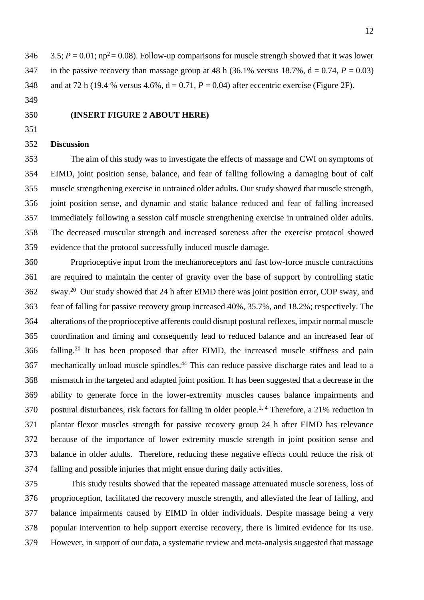346  $=$  3.5;  $P = 0.01$ ; np<sup>2</sup> = 0.08). Follow-up comparisons for muscle strength showed that it was lower 347 in the passive recovery than massage group at 48 h (36.1% versus 18.7%,  $d = 0.74$ ,  $P = 0.03$ ) 348 and at 72 h (19.4 % versus  $4.6\%$ ,  $d = 0.71$ ,  $P = 0.04$ ) after eccentric exercise (Figure 2F).

- 
- 

# **(INSERT FIGURE 2 ABOUT HERE)**

# **Discussion**

 The aim of this study was to investigate the effects of massage and CWI on symptoms of EIMD, joint position sense, balance, and fear of falling following a damaging bout of calf muscle strengthening exercise in untrained older adults. Our study showed that muscle strength, joint position sense, and dynamic and static balance reduced and fear of falling increased immediately following a session calf muscle strengthening exercise in untrained older adults. The decreased muscular strength and increased soreness after the exercise protocol showed evidence that the protocol successfully induced muscle damage.

 Proprioceptive input from the mechanoreceptors and fast low-force muscle contractions are required to maintain the center of gravity over the base of support by controlling static 362 sway.<sup>20</sup> Our study showed that 24 h after EIMD there was joint position error, COP sway, and fear of falling for passive recovery group increased 40%, 35.7%, and 18.2%; respectively. The alterations of the proprioceptive afferents could disrupt postural reflexes, impair normal muscle coordination and timing and consequently lead to reduced balance and an increased fear of 366 falling.<sup>20</sup> It has been proposed that after EIMD, the increased muscle stiffness and pain 367 mechanically unload muscle spindles.<sup>44</sup> This can reduce passive discharge rates and lead to a mismatch in the targeted and adapted joint position. It has been suggested that a decrease in the ability to generate force in the lower-extremity muscles causes balance impairments and 370 postural disturbances, risk factors for falling in older people.<sup>2, 4</sup> Therefore, a 21% reduction in plantar flexor muscles strength for passive recovery group 24 h after EIMD has relevance because of the importance of lower extremity muscle strength in joint position sense and balance in older adults. Therefore, reducing these negative effects could reduce the risk of falling and possible injuries that might ensue during daily activities.

 This study results showed that the repeated massage attenuated muscle soreness, loss of proprioception, facilitated the recovery muscle strength, and alleviated the fear of falling, and balance impairments caused by EIMD in older individuals. Despite massage being a very popular intervention to help support exercise recovery, there is limited evidence for its use. However, in support of our data, a systematic review and meta-analysis suggested that massage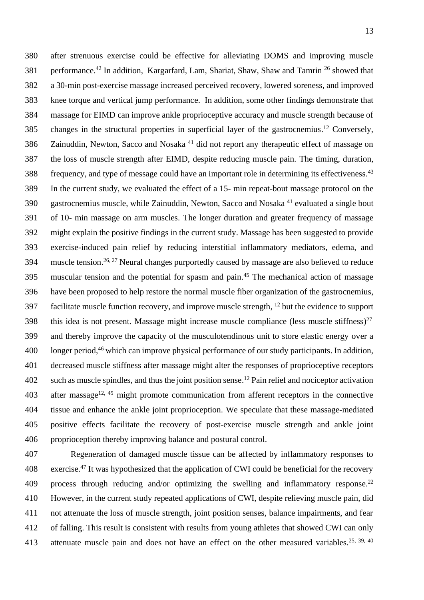after strenuous exercise could be effective for alleviating DOMS and improving muscle 381 performance.<sup>42</sup> In addition, Kargarfard, Lam, Shariat, Shaw, Shaw and Tamrin<sup>26</sup> showed that a 30-min post-exercise massage increased perceived recovery, lowered soreness, and improved knee torque and vertical jump performance. In addition, some other findings demonstrate that massage for EIMD can improve ankle proprioceptive accuracy and muscle strength because of 385 changes in the structural properties in superficial layer of the gastrocnemius.<sup>12</sup> Conversely, 386 Zainuddin, Newton, Sacco and Nosaka<sup>41</sup> did not report any therapeutic effect of massage on the loss of muscle strength after EIMD, despite reducing muscle pain. The timing, duration, frequency, and type of message could have an important role in determining its effectiveness.<sup>43</sup> In the current study, we evaluated the effect of a 15- min repeat-bout massage protocol on the 390 gastrocnemius muscle, while Zainuddin, Newton, Sacco and Nosaka<sup>41</sup> evaluated a single bout of 10- min massage on arm muscles. The longer duration and greater frequency of massage might explain the positive findings in the current study. Massage has been suggested to provide exercise-induced pain relief by reducing interstitial inflammatory mediators, edema, and muscle tension.<sup>26, 27</sup> Neural changes purportedly caused by massage are also believed to reduce 395 muscular tension and the potential for spasm and pain.<sup>45</sup> The mechanical action of massage have been proposed to help restore the normal muscle fiber organization of the gastrocnemius, 397 facilitate muscle function recovery, and improve muscle strength,  $^{12}$  but the evidence to support 398 this idea is not present. Massage might increase muscle compliance (less muscle stiffness)<sup>27</sup> and thereby improve the capacity of the musculotendinous unit to store elastic energy over a 400 longer period, <sup>46</sup> which can improve physical performance of our study participants. In addition, decreased muscle stiffness after massage might alter the responses of proprioceptive receptors 402 such as muscle spindles, and thus the joint position sense.<sup>12</sup> Pain relief and nociceptor activation after massage<sup>12, 45</sup> might promote communication from afferent receptors in the connective tissue and enhance the ankle joint proprioception. We speculate that these massage-mediated positive effects facilitate the recovery of post-exercise muscle strength and ankle joint proprioception thereby improving balance and postural control.

 Regeneration of damaged muscle tissue can be affected by inflammatory responses to 408 exercise.<sup>47</sup> It was hypothesized that the application of CWI could be beneficial for the recovery 409 process through reducing and/or optimizing the swelling and inflammatory response.<sup>22</sup> However, in the current study repeated applications of CWI, despite relieving muscle pain, did not attenuate the loss of muscle strength, joint position senses, balance impairments, and fear of falling. This result is consistent with results from young athletes that showed CWI can only 413 attenuate muscle pain and does not have an effect on the other measured variables.<sup>25, 39, 40</sup>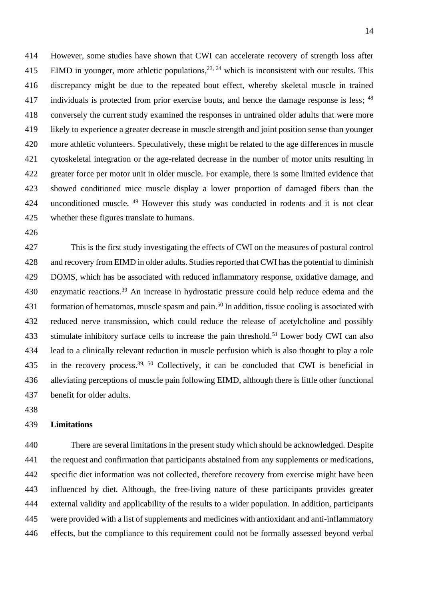However, some studies have shown that CWI can accelerate recovery of strength loss after 415 EIMD in younger, more athletic populations,  $2^{3}$ ,  $2^{4}$  which is inconsistent with our results. This discrepancy might be due to the repeated bout effect, whereby skeletal muscle in trained 417 individuals is protected from prior exercise bouts, and hence the damage response is less; <sup>48</sup> conversely the current study examined the responses in untrained older adults that were more likely to experience a greater decrease in muscle strength and joint position sense than younger more athletic volunteers. Speculatively, these might be related to the age differences in muscle cytoskeletal integration or the age-related decrease in the number of motor units resulting in greater force per motor unit in older muscle. For example, there is some limited evidence that showed conditioned mice muscle display a lower proportion of damaged fibers than the 424 unconditioned muscle. <sup>49</sup> However this study was conducted in rodents and it is not clear whether these figures translate to humans.

 This is the first study investigating the effects of CWI on the measures of postural control and recovery from EIMD in older adults. Studies reported that CWI has the potential to diminish DOMS, which has be associated with reduced inflammatory response, oxidative damage, and 430 enzymatic reactions.<sup>39</sup> An increase in hydrostatic pressure could help reduce edema and the 431 formation of hematomas, muscle spasm and pain.<sup>50</sup> In addition, tissue cooling is associated with reduced nerve transmission, which could reduce the release of acetylcholine and possibly 433 stimulate inhibitory surface cells to increase the pain threshold.<sup>51</sup> Lower body CWI can also lead to a clinically relevant reduction in muscle perfusion which is also thought to play a role 435 in the recovery process.<sup>39, 50</sup> Collectively, it can be concluded that CWI is beneficial in alleviating perceptions of muscle pain following EIMD, although there is little other functional benefit for older adults.

## **Limitations**

 There are several limitations in the present study which should be acknowledged. Despite the request and confirmation that participants abstained from any supplements or medications, specific diet information was not collected, therefore recovery from exercise might have been influenced by diet. Although, the free-living nature of these participants provides greater external validity and applicability of the results to a wider population. In addition, participants were provided with a list of supplements and medicines with antioxidant and anti-inflammatory effects, but the compliance to this requirement could not be formally assessed beyond verbal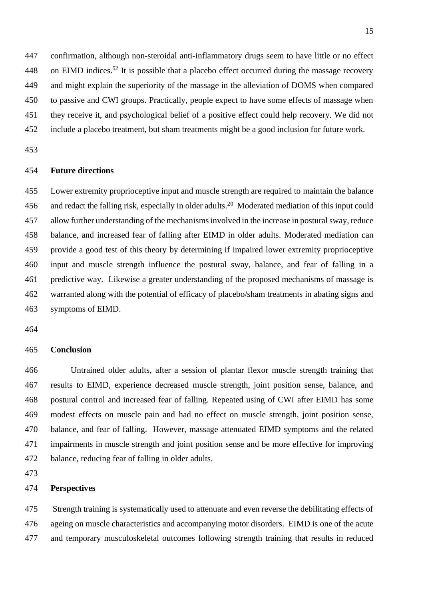confirmation, although non-steroidal anti-inflammatory drugs seem to have little or no effect 448 on EIMD indices.<sup>52</sup> It is possible that a placebo effect occurred during the massage recovery and might explain the superiority of the massage in the alleviation of DOMS when compared to passive and CWI groups. Practically, people expect to have some effects of massage when they receive it, and psychological belief of a positive effect could help recovery. We did not

include a placebo treatment, but sham treatments might be a good inclusion for future work.

# **Future directions**

 Lower extremity proprioceptive input and muscle strength are required to maintain the balance 456 and redact the falling risk, especially in older adults.<sup>20</sup> Moderated mediation of this input could allow further understanding of the mechanisms involved in the increase in postural sway, reduce balance, and increased fear of falling after EIMD in older adults. Moderated mediation can provide a good test of this theory by determining if impaired lower extremity proprioceptive input and muscle strength influence the postural sway, balance, and fear of falling in a predictive way. Likewise a greater understanding of the proposed mechanisms of massage is warranted along with the potential of efficacy of placebo/sham treatments in abating signs and symptoms of EIMD.

#### **Conclusion**

 Untrained older adults, after a session of plantar flexor muscle strength training that results to EIMD, experience decreased muscle strength, joint position sense, balance, and postural control and increased fear of falling. Repeated using of CWI after EIMD has some modest effects on muscle pain and had no effect on muscle strength, joint position sense, balance, and fear of falling. However, massage attenuated EIMD symptoms and the related impairments in muscle strength and joint position sense and be more effective for improving balance, reducing fear of falling in older adults.

# **Perspectives**

 Strength training is systematically used to attenuate and even reverse the debilitating effects of ageing on muscle characteristics and accompanying motor disorders. EIMD is one of the acute and temporary musculoskeletal outcomes following strength training that results in reduced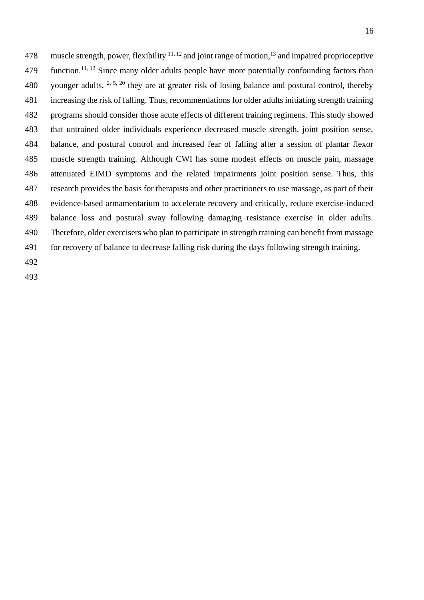478 muscle strength, power, flexibility  $11, 12$  and joint range of motion,  $13$  and impaired proprioceptive 479 function.<sup>11, 12</sup> Since many older adults people have more potentially confounding factors than 480 younger adults,  $2, 5, 20$  they are at greater risk of losing balance and postural control, thereby increasing the risk of falling. Thus, recommendations for older adults initiating strength training programs should consider those acute effects of different training regimens. This study showed that untrained older individuals experience decreased muscle strength, joint position sense, balance, and postural control and increased fear of falling after a session of plantar flexor muscle strength training. Although CWI has some modest effects on muscle pain, massage attenuated EIMD symptoms and the related impairments joint position sense. Thus, this research provides the basis for therapists and other practitioners to use massage, as part of their evidence-based armamentarium to accelerate recovery and critically, reduce exercise-induced balance loss and postural sway following damaging resistance exercise in older adults. Therefore, older exercisers who plan to participate in strength training can benefit from massage for recovery of balance to decrease falling risk during the days following strength training.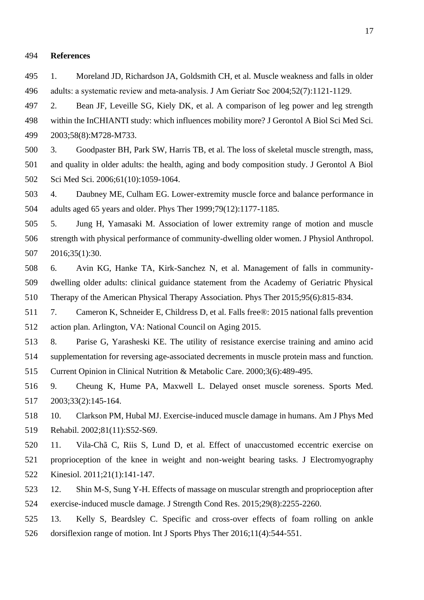#### **References**

 1. Moreland JD, Richardson JA, Goldsmith CH, et al. Muscle weakness and falls in older 496 adults: a systematic review and meta-analysis. J Am Geriatr Soc 2004;52(7):1121-1129.

 2. Bean JF, Leveille SG, Kiely DK, et al. A comparison of leg power and leg strength within the InCHIANTI study: which influences mobility more? J Gerontol A Biol Sci Med Sci. 2003;58(8):M728-M733.

 3. Goodpaster BH, Park SW, Harris TB, et al. The loss of skeletal muscle strength, mass, and quality in older adults: the health, aging and body composition study. J Gerontol A Biol Sci Med Sci. 2006;61(10):1059-1064.

 4. Daubney ME, Culham EG. Lower-extremity muscle force and balance performance in adults aged 65 years and older. Phys Ther 1999;79(12):1177-1185.

 5. Jung H, Yamasaki M. Association of lower extremity range of motion and muscle strength with physical performance of community-dwelling older women. J Physiol Anthropol. 2016;35(1):30.

 6. Avin KG, Hanke TA, Kirk-Sanchez N, et al. Management of falls in community- dwelling older adults: clinical guidance statement from the Academy of Geriatric Physical Therapy of the American Physical Therapy Association. Phys Ther 2015;95(6):815-834.

 7. Cameron K, Schneider E, Childress D, et al. Falls free®: 2015 national falls prevention action plan. Arlington, VA: National Council on Aging 2015.

 8. Parise G, Yarasheski KE. The utility of resistance exercise training and amino acid supplementation for reversing age-associated decrements in muscle protein mass and function.

Current Opinion in Clinical Nutrition & Metabolic Care. 2000;3(6):489-495.

 9. Cheung K, Hume PA, Maxwell L. Delayed onset muscle soreness. Sports Med. 2003;33(2):145-164.

 10. Clarkson PM, Hubal MJ. Exercise-induced muscle damage in humans. Am J Phys Med Rehabil. 2002;81(11):S52-S69.

 11. Vila-Chã C, Riis S, Lund D, et al. Effect of unaccustomed eccentric exercise on proprioception of the knee in weight and non-weight bearing tasks. J Electromyography Kinesiol. 2011;21(1):141-147.

 12. Shin M-S, Sung Y-H. Effects of massage on muscular strength and proprioception after exercise-induced muscle damage. J Strength Cond Res. 2015;29(8):2255-2260.

 13. Kelly S, Beardsley C. Specific and cross-over effects of foam rolling on ankle dorsiflexion range of motion. Int J Sports Phys Ther 2016;11(4):544-551.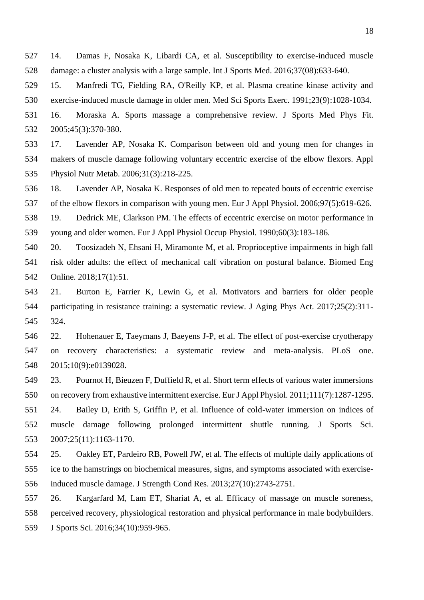14. Damas F, Nosaka K, Libardi CA, et al. Susceptibility to exercise-induced muscle damage: a cluster analysis with a large sample. Int J Sports Med. 2016;37(08):633-640.

- 15. Manfredi TG, Fielding RA, O'Reilly KP, et al. Plasma creatine kinase activity and exercise-induced muscle damage in older men. Med Sci Sports Exerc. 1991;23(9):1028-1034.
- 16. Moraska A. Sports massage a comprehensive review. J Sports Med Phys Fit. 2005;45(3):370-380.
- 17. Lavender AP, Nosaka K. Comparison between old and young men for changes in makers of muscle damage following voluntary eccentric exercise of the elbow flexors. Appl Physiol Nutr Metab. 2006;31(3):218-225.

 18. Lavender AP, Nosaka K. Responses of old men to repeated bouts of eccentric exercise of the elbow flexors in comparison with young men. Eur J Appl Physiol. 2006;97(5):619-626.

 19. Dedrick ME, Clarkson PM. The effects of eccentric exercise on motor performance in young and older women. Eur J Appl Physiol Occup Physiol. 1990;60(3):183-186.

 20. Toosizadeh N, Ehsani H, Miramonte M, et al. Proprioceptive impairments in high fall risk older adults: the effect of mechanical calf vibration on postural balance. Biomed Eng Online. 2018;17(1):51.

- 21. Burton E, Farrier K, Lewin G, et al. Motivators and barriers for older people participating in resistance training: a systematic review. J Aging Phys Act. 2017;25(2):311- 324.
- 22. Hohenauer E, Taeymans J, Baeyens J-P, et al. The effect of post-exercise cryotherapy on recovery characteristics: a systematic review and meta-analysis. PLoS one. 2015;10(9):e0139028.
- 23. Pournot H, Bieuzen F, Duffield R, et al. Short term effects of various water immersions on recovery from exhaustive intermittent exercise. Eur J Appl Physiol. 2011;111(7):1287-1295.

 24. Bailey D, Erith S, Griffin P, et al. Influence of cold-water immersion on indices of muscle damage following prolonged intermittent shuttle running. J Sports Sci. 2007;25(11):1163-1170.

 25. Oakley ET, Pardeiro RB, Powell JW, et al. The effects of multiple daily applications of ice to the hamstrings on biochemical measures, signs, and symptoms associated with exercise-induced muscle damage. J Strength Cond Res. 2013;27(10):2743-2751.

 26. Kargarfard M, Lam ET, Shariat A, et al. Efficacy of massage on muscle soreness, perceived recovery, physiological restoration and physical performance in male bodybuilders.

J Sports Sci. 2016;34(10):959-965.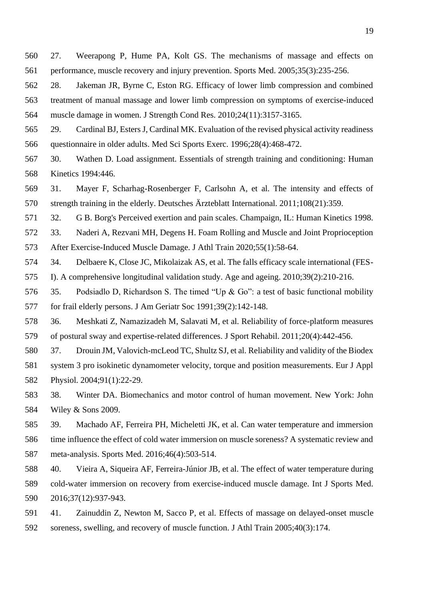- 27. Weerapong P, Hume PA, Kolt GS. The mechanisms of massage and effects on performance, muscle recovery and injury prevention. Sports Med. 2005;35(3):235-256.
- 28. Jakeman JR, Byrne C, Eston RG. Efficacy of lower limb compression and combined treatment of manual massage and lower limb compression on symptoms of exercise-induced muscle damage in women. J Strength Cond Res. 2010;24(11):3157-3165.
- 29. Cardinal BJ, Esters J, Cardinal MK. Evaluation of the revised physical activity readiness questionnaire in older adults. Med Sci Sports Exerc. 1996;28(4):468-472.
- 30. Wathen D. Load assignment. Essentials of strength training and conditioning: Human Kinetics 1994:446.
- 31. Mayer F, Scharhag-Rosenberger F, Carlsohn A, et al. The intensity and effects of strength training in the elderly. Deutsches Ärzteblatt International. 2011;108(21):359.
- 32. G B. Borg's Perceived exertion and pain scales. Champaign, IL: Human Kinetics 1998.
- 33. Naderi A, Rezvani MH, Degens H. Foam Rolling and Muscle and Joint Proprioception
- After Exercise-Induced Muscle Damage. J Athl Train 2020;55(1):58-64.
- 34. Delbaere K, Close JC, Mikolaizak AS, et al. The falls efficacy scale international (FES-
- I). A comprehensive longitudinal validation study. Age and ageing. 2010;39(2):210-216.
- 35. Podsiadlo D, Richardson S. The timed "Up & Go": a test of basic functional mobility for frail elderly persons. J Am Geriatr Soc 1991;39(2):142-148.
- 36. Meshkati Z, Namazizadeh M, Salavati M, et al. Reliability of force-platform measures of postural sway and expertise-related differences. J Sport Rehabil. 2011;20(4):442-456.
- 37. Drouin JM, Valovich-mcLeod TC, Shultz SJ, et al. Reliability and validity of the Biodex system 3 pro isokinetic dynamometer velocity, torque and position measurements. Eur J Appl Physiol. 2004;91(1):22-29.
- 38. Winter DA. Biomechanics and motor control of human movement. New York: John Wiley & Sons 2009.
- 39. Machado AF, Ferreira PH, Micheletti JK, et al. Can water temperature and immersion time influence the effect of cold water immersion on muscle soreness? A systematic review and meta-analysis. Sports Med. 2016;46(4):503-514.
- 40. Vieira A, Siqueira AF, Ferreira-Júnior JB, et al. The effect of water temperature during cold-water immersion on recovery from exercise-induced muscle damage. Int J Sports Med. 2016;37(12):937-943.
- 41. Zainuddin Z, Newton M, Sacco P, et al. Effects of massage on delayed-onset muscle soreness, swelling, and recovery of muscle function. J Athl Train 2005;40(3):174.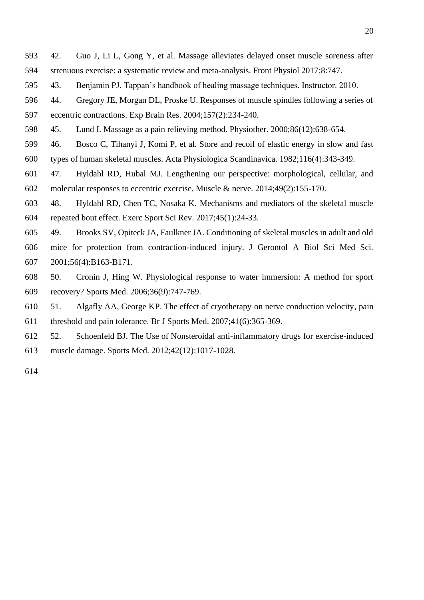- 42. Guo J, Li L, Gong Y, et al. Massage alleviates delayed onset muscle soreness after strenuous exercise: a systematic review and meta-analysis. Front Physiol 2017;8:747.
- 43. Benjamin PJ. Tappan's handbook of healing massage techniques. Instructor. 2010.
- 44. Gregory JE, Morgan DL, Proske U. Responses of muscle spindles following a series of
- eccentric contractions. Exp Brain Res. 2004;157(2):234-240.
- 45. Lund I. Massage as a pain relieving method. Physiother. 2000;86(12):638-654.
- 46. Bosco C, Tihanyi J, Komi P, et al. Store and recoil of elastic energy in slow and fast types of human skeletal muscles. Acta Physiologica Scandinavica. 1982;116(4):343-349.
- 47. Hyldahl RD, Hubal MJ. Lengthening our perspective: morphological, cellular, and molecular responses to eccentric exercise. Muscle & nerve. 2014;49(2):155-170.
- 48. Hyldahl RD, Chen TC, Nosaka K. Mechanisms and mediators of the skeletal muscle repeated bout effect. Exerc Sport Sci Rev. 2017;45(1):24-33.
- 49. Brooks SV, Opiteck JA, Faulkner JA. Conditioning of skeletal muscles in adult and old mice for protection from contraction-induced injury. J Gerontol A Biol Sci Med Sci. 2001;56(4):B163-B171.
- 50. Cronin J, Hing W. Physiological response to water immersion: A method for sport recovery? Sports Med. 2006;36(9):747-769.
- 51. Algafly AA, George KP. The effect of cryotherapy on nerve conduction velocity, pain threshold and pain tolerance. Br J Sports Med. 2007;41(6):365-369.
- 52. Schoenfeld BJ. The Use of Nonsteroidal anti-inflammatory drugs for exercise-induced muscle damage. Sports Med. 2012;42(12):1017-1028.
-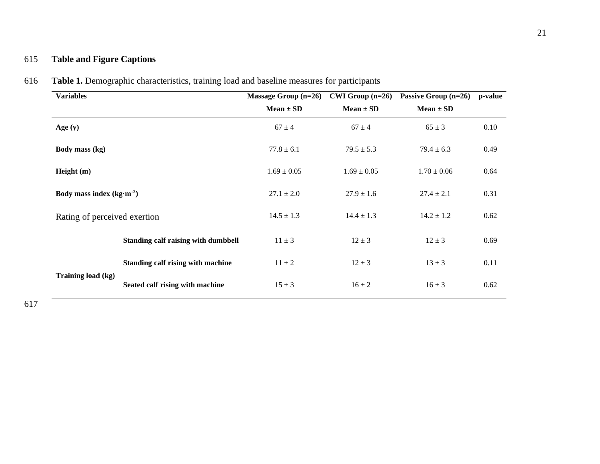# 615 **Table and Figure Captions**

| <b>Variables</b>             |                                            | Massage Group (n=26) | $CWI$ Group (n=26) | Passive Group (n=26) | p-value |
|------------------------------|--------------------------------------------|----------------------|--------------------|----------------------|---------|
|                              |                                            | $Mean \pm SD$        | $Mean \pm SD$      | $Mean \pm SD$        |         |
| Age $(y)$                    |                                            | $67 \pm 4$           | $67 \pm 4$         | $65 \pm 3$           | 0.10    |
| Body mass (kg)               |                                            | $77.8 \pm 6.1$       | $79.5 \pm 5.3$     | $79.4 \pm 6.3$       | 0.49    |
| Height $(m)$                 |                                            | $1.69 \pm 0.05$      | $1.69 \pm 0.05$    | $1.70 \pm 0.06$      | 0.64    |
| Body mass index $(kg·m-2)$   |                                            | $27.1 \pm 2.0$       | $27.9 \pm 1.6$     | $27.4 \pm 2.1$       | 0.31    |
| Rating of perceived exertion |                                            | $14.5 \pm 1.3$       | $14.4 \pm 1.3$     | $14.2 \pm 1.2$       | 0.62    |
|                              | <b>Standing calf raising with dumbbell</b> | $11 \pm 3$           | $12 \pm 3$         | $12 \pm 3$           | 0.69    |
|                              | Standing calf rising with machine          | $11 \pm 2$           | $12 \pm 3$         | $13 \pm 3$           | 0.11    |
| Training load (kg)           | Seated calf rising with machine            | $15 \pm 3$           | $16 \pm 2$         | $16 \pm 3$           | 0.62    |

616 **Table 1.** Demographic characteristics, training load and baseline measures for participants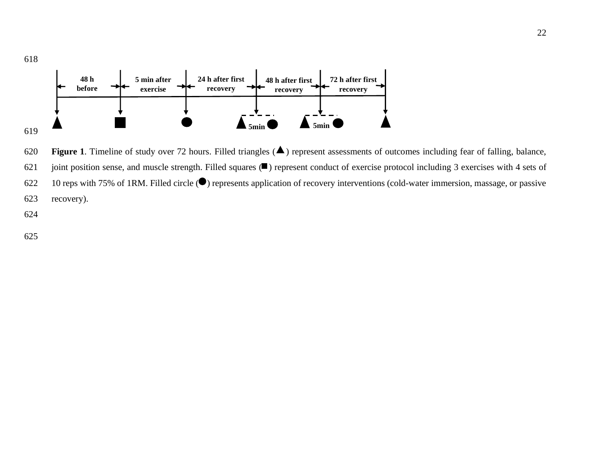

620 **Figure 1**. Timeline of study over 72 hours. Filled triangles  $($   $\blacktriangle)$  represent assessments of outcomes including fear of falling, balance, 621 joint position sense, and muscle strength. Filled squares  $($ **I**) represent conduct of exercise protocol including 3 exercises with 4 sets of 622 10 reps with 75% of 1RM. Filled circle  $\odot$  represents application of recovery interventions (cold-water immersion, massage, or passive 623 recovery).

624

618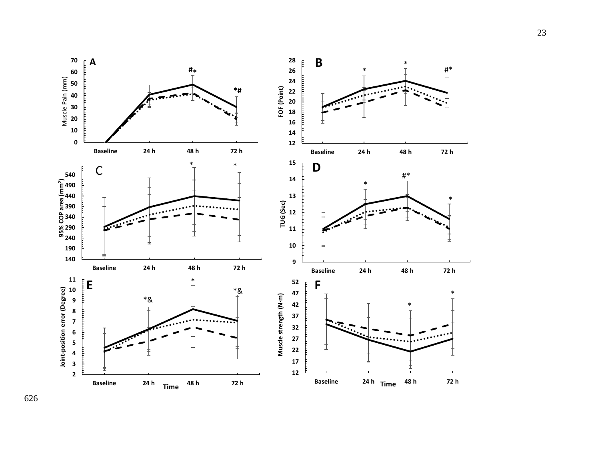